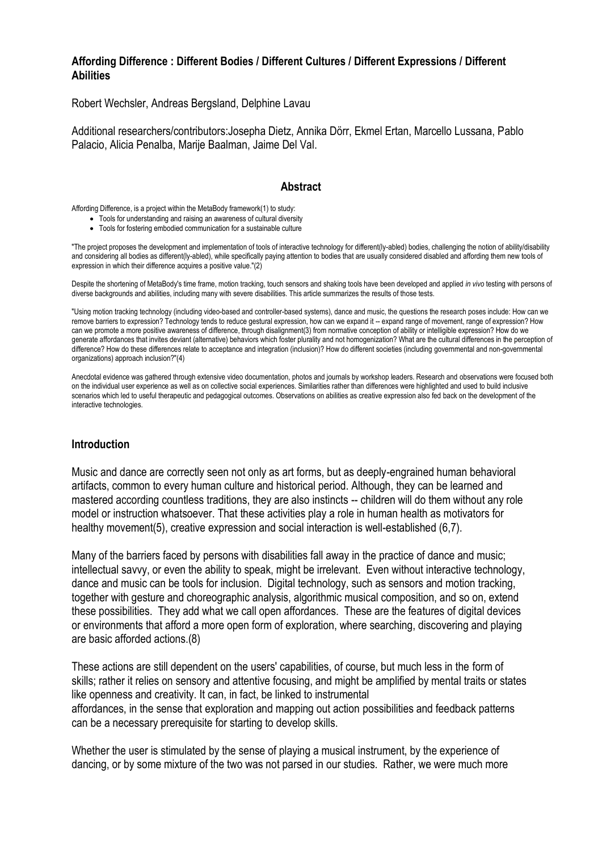# **Affording Difference : Different Bodies / Different Cultures / Different Expressions / Different Abilities**

Robert Wechsler, Andreas Bergsland, Delphine Lavau

Additional researchers/contributors:Josepha Dietz, Annika Dörr, Ekmel Ertan, Marcello Lussana, Pablo Palacio, Alicia Penalba, Marije Baalman, Jaime Del Val.

# **Abstract**

Affording Difference, is a project within the MetaBody framework(1) to study:

- Tools for understanding and raising an awareness of cultural diversity
- Tools for fostering embodied communication for a sustainable culture

"The project proposes the development and implementation of tools of interactive technology for different(ly-abled) bodies, challenging the notion of ability/disability and considering all bodies as different(ly-abled), while specifically paying attention to bodies that are usually considered disabled and affording them new tools of expression in which their difference acquires a positive value."(2)

Despite the shortening of MetaBody's time frame, motion tracking, touch sensors and shaking tools have been developed and applied *in vivo* testing with persons of diverse backgrounds and abilities, including many with severe disabilities. This article summarizes the results of those tests.

"Using motion tracking technology (including video-based and controller-based systems), dance and music, the questions the research poses include: How can we remove barriers to expression? Technology tends to reduce gestural expression, how can we expand it -- expand range of movement, range of expression? How can we promote a more positive awareness of difference, through disalignment(3) from normative conception of ability or intelligible expression? How do we generate affordances that invites deviant (alternative) behaviors which foster plurality and not homogenization? What are the cultural differences in the perception of difference? How do these differences relate to acceptance and integration (inclusion)? How do different societies (including governmental and non-governmental organizations) approach inclusion?"(4)

Anecdotal evidence was gathered through extensive video documentation, photos and journals by workshop leaders. Research and observations were focused both on the individual user experience as well as on collective social experiences. Similarities rather than differences were highlighted and used to build inclusive scenarios which led to useful therapeutic and pedagogical outcomes. Observations on abilities as creative expression also fed back on the development of the interactive technologies.

# **Introduction**

Music and dance are correctly seen not only as art forms, but as deeply-engrained human behavioral artifacts, common to every human culture and historical period. Although, they can be learned and mastered according countless traditions, they are also instincts -- children will do them without any role model or instruction whatsoever. That these activities play a role in human health as motivators for healthy movement(5), creative expression and social interaction is well-established (6.7).

Many of the barriers faced by persons with disabilities fall away in the practice of dance and music; intellectual savvy, or even the ability to speak, might be irrelevant. Even without interactive technology, dance and music can be tools for inclusion. Digital technology, such as sensors and motion tracking, together with gesture and choreographic analysis, algorithmic musical composition, and so on, extend these possibilities. They add what we call open affordances. These are the features of digital devices or environments that afford a more open form of exploration, where searching, discovering and playing are basic afforded actions.(8)

These actions are still dependent on the users' capabilities, of course, but much less in the form of skills; rather it relies on sensory and attentive focusing, and might be amplified by mental traits or states like openness and creativity. It can, in fact, be linked to instrumental affordances, in the sense that exploration and mapping out action possibilities and feedback patterns can be a necessary prerequisite for starting to develop skills.

Whether the user is stimulated by the sense of playing a musical instrument, by the experience of dancing, or by some mixture of the two was not parsed in our studies. Rather, we were much more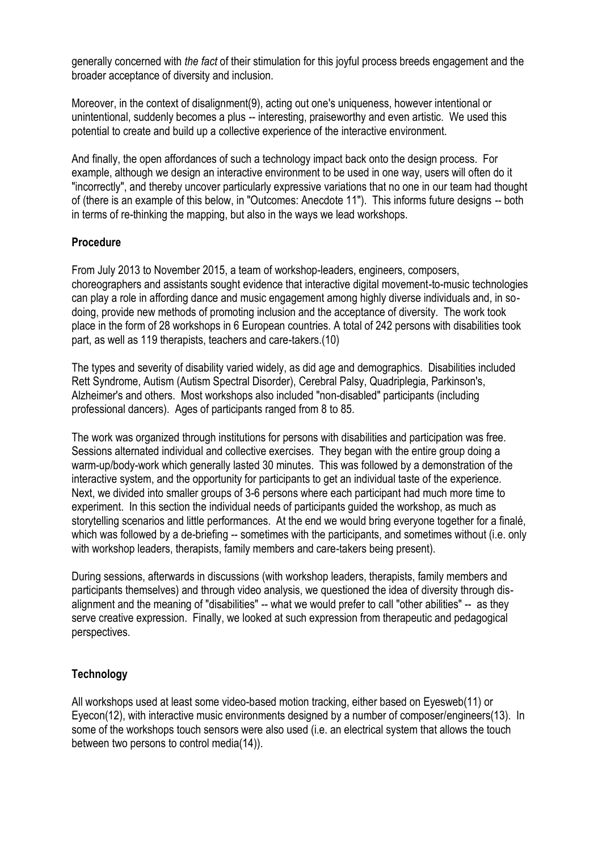generally concerned with *the fact* of their stimulation for this joyful process breeds engagement and the broader acceptance of diversity and inclusion.

Moreover, in the context of disalignment(9), acting out one's uniqueness, however intentional or unintentional, suddenly becomes a plus -- interesting, praiseworthy and even artistic. We used this potential to create and build up a collective experience of the interactive environment.

And finally, the open affordances of such a technology impact back onto the design process. For example, although we design an interactive environment to be used in one way, users will often do it "incorrectly", and thereby uncover particularly expressive variations that no one in our team had thought of (there is an example of this below, in "Outcomes: Anecdote 11"). This informs future designs -- both in terms of re-thinking the mapping, but also in the ways we lead workshops.

# **Procedure**

From July 2013 to November 2015, a team of workshop-leaders, engineers, composers, choreographers and assistants sought evidence that interactive digital movement-to-music technologies can play a role in affording dance and music engagement among highly diverse individuals and, in sodoing, provide new methods of promoting inclusion and the acceptance of diversity. The work took place in the form of 28 workshops in 6 European countries. A total of 242 persons with disabilities took part, as well as 119 therapists, teachers and care-takers.(10)

The types and severity of disability varied widely, as did age and demographics. Disabilities included Rett Syndrome, Autism (Autism Spectral Disorder), Cerebral Palsy, Quadriplegia, Parkinson's, Alzheimer's and others. Most workshops also included "non-disabled" participants (including professional dancers). Ages of participants ranged from 8 to 85.

The work was organized through institutions for persons with disabilities and participation was free. Sessions alternated individual and collective exercises. They began with the entire group doing a warm-up/body-work which generally lasted 30 minutes. This was followed by a demonstration of the interactive system, and the opportunity for participants to get an individual taste of the experience. Next, we divided into smaller groups of 3-6 persons where each participant had much more time to experiment. In this section the individual needs of participants guided the workshop, as much as storytelling scenarios and little performances. At the end we would bring everyone together for a finalé, which was followed by a de-briefing -- sometimes with the participants, and sometimes without (i.e. only with workshop leaders, therapists, family members and care-takers being present).

During sessions, afterwards in discussions (with workshop leaders, therapists, family members and participants themselves) and through video analysis, we questioned the idea of diversity through disalignment and the meaning of "disabilities" -- what we would prefer to call "other abilities" -- as they serve creative expression. Finally, we looked at such expression from therapeutic and pedagogical perspectives.

# **Technology**

All workshops used at least some video-based motion tracking, either based on Eyesweb(11) or Eyecon(12), with interactive music environments designed by a number of composer/engineers(13). In some of the workshops touch sensors were also used (i.e. an electrical system that allows the touch between two persons to control media(14)).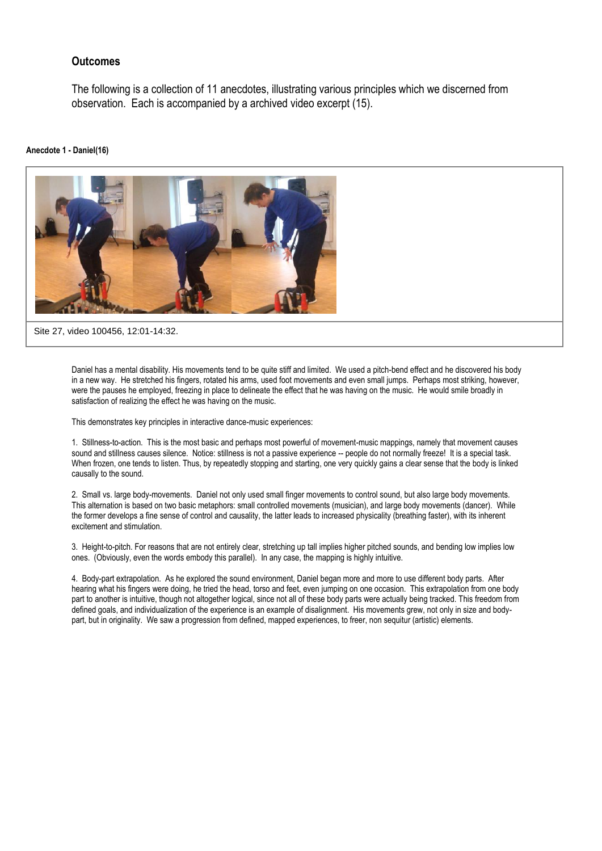# **Outcomes**

The following is a collection of 11 anecdotes, illustrating various principles which we discerned from observation. Each is accompanied by a archived video excerpt (15).

#### **Anecdote 1 - Daniel(16)**



Daniel has a mental disability. His movements tend to be quite stiff and limited. We used a pitch-bend effect and he discovered his body in a new way. He stretched his fingers, rotated his arms, used foot movements and even small jumps. Perhaps most striking, however, were the pauses he employed, freezing in place to delineate the effect that he was having on the music. He would smile broadly in

This demonstrates key principles in interactive dance-music experiences:

satisfaction of realizing the effect he was having on the music.

1. Stillness-to-action. This is the most basic and perhaps most powerful of movement-music mappings, namely that movement causes sound and stillness causes silence. Notice: stillness is not a passive experience -- people do not normally freeze! It is a special task. When frozen, one tends to listen. Thus, by repeatedly stopping and starting, one very quickly gains a clear sense that the body is linked causally to the sound.

2. Small vs. large body-movements. Daniel not only used small finger movements to control sound, but also large body movements. This alternation is based on two basic metaphors: small controlled movements (musician), and large body movements (dancer). While the former develops a fine sense of control and causality, the latter leads to increased physicality (breathing faster), with its inherent excitement and stimulation.

3. Height-to-pitch. For reasons that are not entirely clear, stretching up tall implies higher pitched sounds, and bending low implies low ones. (Obviously, even the words embody this parallel). In any case, the mapping is highly intuitive.

4. Body-part extrapolation. As he explored the sound environment, Daniel began more and more to use different body parts. After hearing what his fingers were doing, he tried the head, torso and feet, even jumping on one occasion. This extrapolation from one body part to another is intuitive, though not altogether logical, since not all of these body parts were actually being tracked. This freedom from defined goals, and individualization of the experience is an example of disalignment. His movements grew, not only in size and bodypart, but in originality. We saw a progression from defined, mapped experiences, to freer, non sequitur (artistic) elements.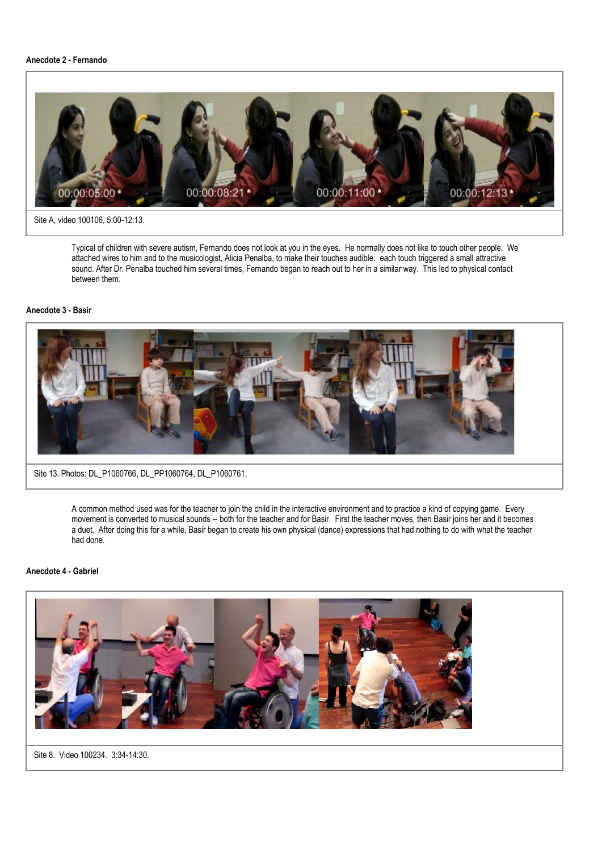### **Anecdote 2 - Fernando**



#### Site A, video 100106, 5:00-12:13.

Typical of children with severe autism, Fernando does not look at you in the eyes. He normally does not like to touch other people. We attached wires to him and to the musicologist, Alicia Penalba, to make their touches audible: each touch triggered a small attractive sound. After Dr. Penalba touched him several times, Fernando began to reach out to her in a similar way. This led to physical contact between them.

### **Anecdote 3 - Basir**



Site 13. Photos: DL\_P1060766, DL\_PP1060764, DL\_P1060761.

A common method used was for the teacher to join the child in the interactive environment and to practice a kind of copying game. Every movement is converted to musical sounds -- both for the teacher and for Basir. First the teacher moves, then Basir joins her and it becomes a duet. After doing this for a while, Basir began to create his own physical (dance) expressions that had nothing to do with what the teacher had done.

### **Anecdote 4 - Gabriel**



Site 8. Video 100234. 3:34-14:30.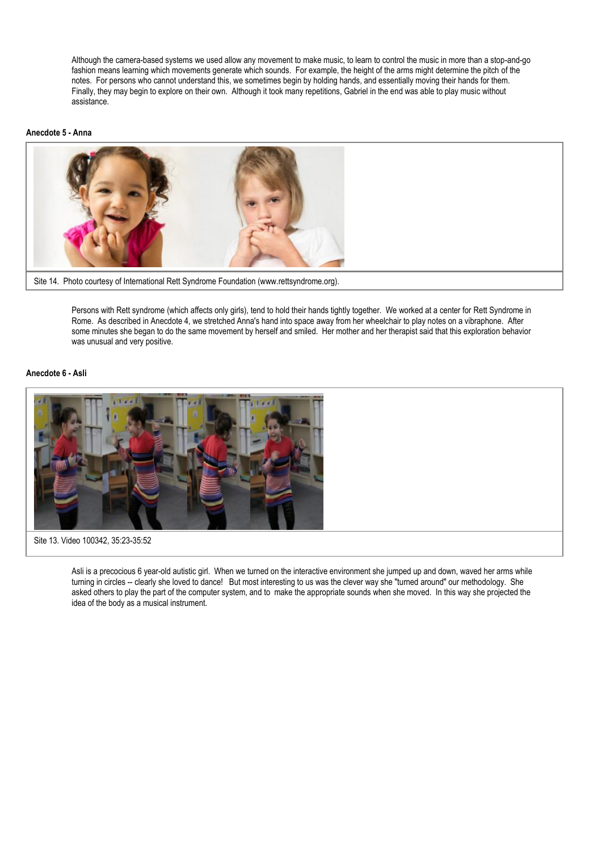Although the camera-based systems we used allow any movement to make music, to learn to control the music in more than a stop-and-go fashion means learning which movements generate which sounds. For example, the height of the arms might determine the pitch of the notes. For persons who cannot understand this, we sometimes begin by holding hands, and essentially moving their hands for them. Finally, they may begin to explore on their own. Although it took many repetitions, Gabriel in the end was able to play music without assistance.

#### **Anecdote 5 - Anna**



Site 14. Photo courtesy of International Rett Syndrome Foundation (www.rettsyndrome.org).

Persons with Rett syndrome (which affects only girls), tend to hold their hands tightly together. We worked at a center for Rett Syndrome in Rome. As described in Anecdote 4, we stretched Anna's hand into space away from her wheelchair to play notes on a vibraphone. After some minutes she began to do the same movement by herself and smiled. Her mother and her therapist said that this exploration behavior was unusual and very positive.

### **Anecdote 6 - Asli**



Asli is a precocious 6 year-old autistic girl. When we turned on the interactive environment she jumped up and down, waved her arms while turning in circles -- clearly she loved to dance! But most interesting to us was the clever way she "turned around" our methodology. She asked others to play the part of the computer system, and to make the appropriate sounds when she moved. In this way she projected the idea of the body as a musical instrument.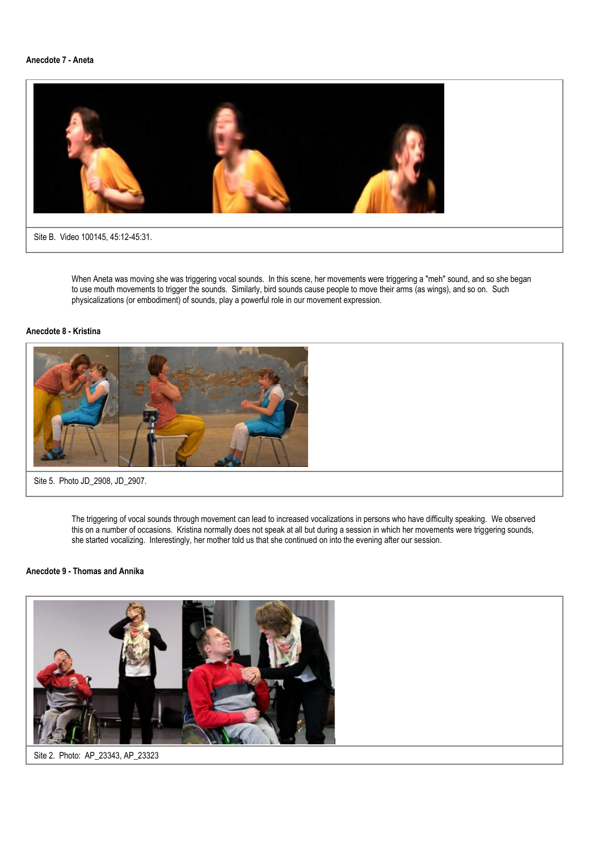### **Anecdote 7 - Aneta**



When Aneta was moving she was triggering vocal sounds. In this scene, her movements were triggering a "meh" sound, and so she began to use mouth movements to trigger the sounds. Similarly, bird sounds cause people to move their arms (as wings), and so on. Such physicalizations (or embodiment) of sounds, play a powerful role in our movement expression.

### **Anecdote 8 - Kristina**



Site 5. Photo JD\_2908, JD\_2907.

The triggering of vocal sounds through movement can lead to increased vocalizations in persons who have difficulty speaking. We observed this on a number of occasions. Kristina normally does not speak at all but during a session in which her movements were triggering sounds, she started vocalizing. Interestingly, her mother told us that she continued on into the evening after our session.

### **Anecdote 9 - Thomas and Annika**

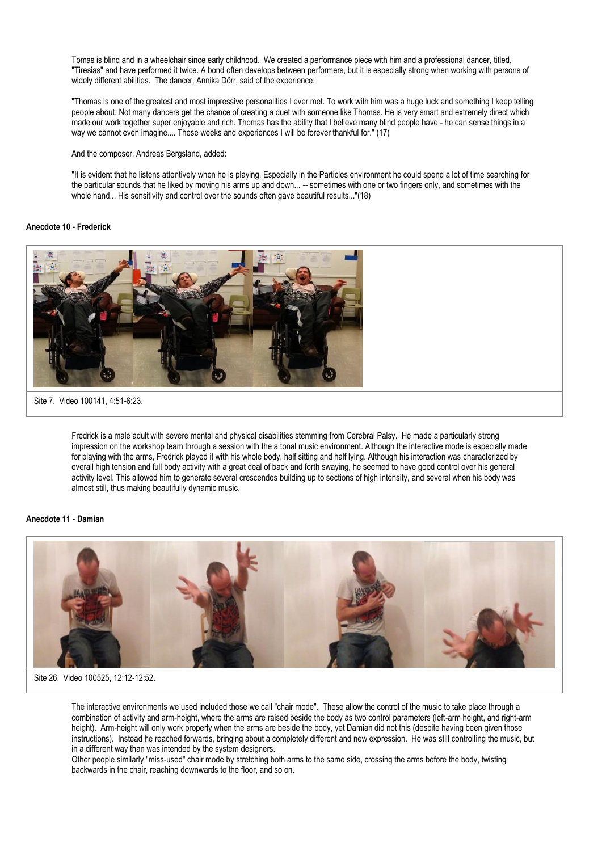Tomas is blind and in a wheelchair since early childhood. We created a performance piece with him and a professional dancer, titled, "Tiresias" and have performed it twice. A bond often develops between performers, but it is especially strong when working with persons of widely different abilities. The dancer, Annika Dörr, said of the experience:

"Thomas is one of the greatest and most impressive personalities I ever met. To work with him was a huge luck and something I keep telling people about. Not many dancers get the chance of creating a duet with someone like Thomas. He is very smart and extremely direct which made our work together super enjoyable and rich. Thomas has the ability that I believe many blind people have - he can sense things in a way we cannot even imagine.... These weeks and experiences I will be forever thankful for." (17)

And the composer, Andreas Bergsland, added:

"It is evident that he listens attentively when he is playing. Especially in the Particles environment he could spend a lot of time searching for the particular sounds that he liked by moving his arms up and down... -- sometimes with one or two fingers only, and sometimes with the whole hand... His sensitivity and control over the sounds often gave beautiful results..."(18)

### **Anecdote 10 - Frederick**



Fredrick is a male adult with severe mental and physical disabilities stemming from Cerebral Palsy. He made a particularly strong impression on the workshop team through a session with the a tonal music environment. Although the interactive mode is especially made for playing with the arms, Fredrick played it with his whole body, half sitting and half lying. Although his interaction was characterized by overall high tension and full body activity with a great deal of back and forth swaying, he seemed to have good control over his general activity level. This allowed him to generate several crescendos building up to sections of high intensity, and several when his body was almost still, thus making beautifully dynamic music.

#### **Anecdote 11 - Damian**



Site 26. Video 100525, 12:12-12:52.

The interactive environments we used included those we call "chair mode". These allow the control of the music to take place through a combination of activity and arm-height, where the arms are raised beside the body as two control parameters (left-arm height, and right-arm height). Arm-height will only work properly when the arms are beside the body, yet Damian did not this (despite having been given those instructions). Instead he reached forwards, bringing about a completely different and new expression. He was still controlling the music, but in a different way than was intended by the system designers.

Other people similarly "miss-used" chair mode by stretching both arms to the same side, crossing the arms before the body, twisting backwards in the chair, reaching downwards to the floor, and so on.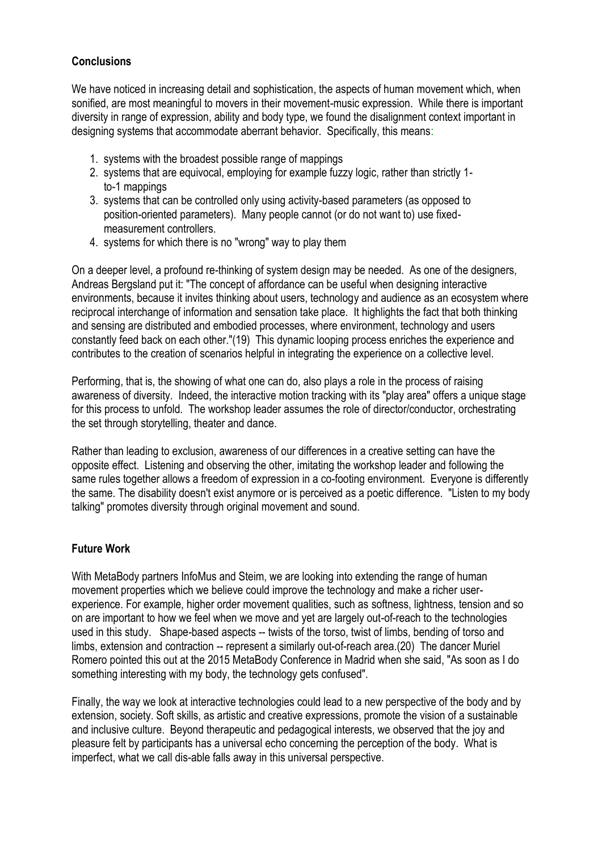# **Conclusions**

We have noticed in increasing detail and sophistication, the aspects of human movement which, when sonified, are most meaningful to movers in their movement-music expression. While there is important diversity in range of expression, ability and body type, we found the disalignment context important in designing systems that accommodate aberrant behavior. Specifically, this means:

- 1. systems with the broadest possible range of mappings
- 2. systems that are equivocal, employing for example fuzzy logic, rather than strictly 1 to-1 mappings
- 3. systems that can be controlled only using activity-based parameters (as opposed to position-oriented parameters). Many people cannot (or do not want to) use fixed measurement controllers.
- 4. systems for which there is no "wrong" way to play them

On a deeper level, a profound re-thinking of system design may be needed. As one of the designers, Andreas Bergsland put it: "The concept of affordance can be useful when designing interactive environments, because it invites thinking about users, technology and audience as an ecosystem where reciprocal interchange of information and sensation take place. It highlights the fact that both thinking and sensing are distributed and embodied processes, where environment, technology and users constantly feed back on each other."(19) This dynamic looping process enriches the experience and contributes to the creation of scenarios helpful in integrating the experience on a collective level.

Performing, that is, the showing of what one can do, also plays a role in the process of raising awareness of diversity. Indeed, the interactive motion tracking with its "play area" offers a unique stage for this process to unfold. The workshop leader assumes the role of director/conductor, orchestrating the set through storytelling, theater and dance.

Rather than leading to exclusion, awareness of our differences in a creative setting can have the opposite effect. Listening and observing the other, imitating the workshop leader and following the same rules together allows a freedom of expression in a co-footing environment. Everyone is differently the same. The disability doesn't exist anymore or is perceived as a poetic difference. "Listen to my body talking" promotes diversity through original movement and sound.

# **Future Work**

With MetaBody partners InfoMus and Steim, we are looking into extending the range of human movement properties which we believe could improve the technology and make a richer userexperience. For example, higher order movement qualities, such as softness, lightness, tension and so on are important to how we feel when we move and yet are largely out-of-reach to the technologies used in this study. Shape-based aspects -- twists of the torso, twist of limbs, bending of torso and limbs, extension and contraction -- represent a similarly out-of-reach area.(20) The dancer Muriel Romero pointed this out at the 2015 MetaBody Conference in Madrid when she said, "As soon as I do something interesting with my body, the technology gets confused".

Finally, the way we look at interactive technologies could lead to a new perspective of the body and by extension, society. Soft skills, as artistic and creative expressions, promote the vision of a sustainable and inclusive culture. Beyond therapeutic and pedagogical interests, we observed that the joy and pleasure felt by participants has a universal echo concerning the perception of the body. What is imperfect, what we call dis-able falls away in this universal perspective.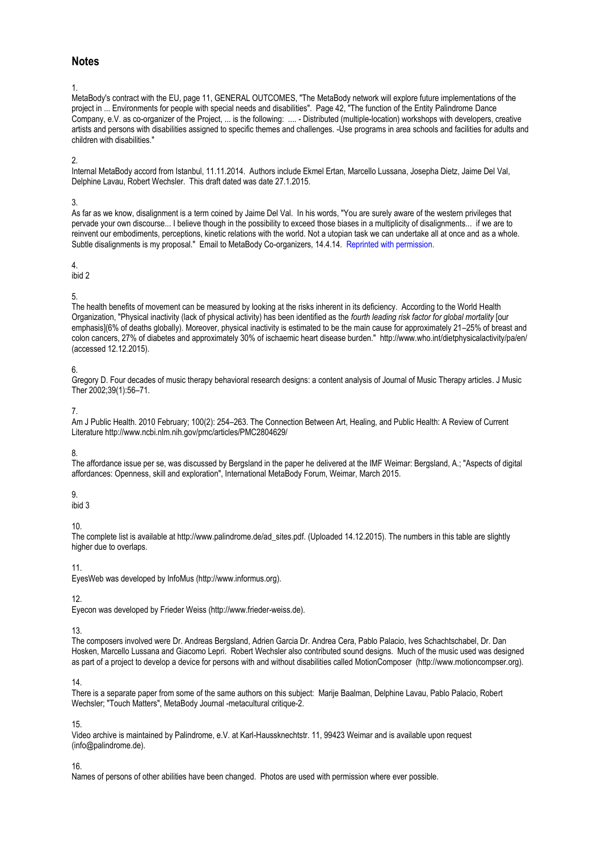# **Notes**

1.

MetaBody's contract with the EU, page 11, GENERAL OUTCOMES, "The MetaBody network will explore future implementations of the project in ... Environments for people with special needs and disabilities". Page 42, "The function of the Entity Palindrome Dance Company, e.V. as co-organizer of the Project, ... is the following: .... - Distributed (multiple-location) workshops with developers, creative artists and persons with disabilities assigned to specific themes and challenges. -Use programs in area schools and facilities for adults and children with disabilities."

### $\mathfrak{2}$

Internal MetaBody accord from Istanbul, 11.11.2014. Authors include Ekmel Ertan, Marcello Lussana, Josepha Dietz, Jaime Del Val, Delphine Lavau, Robert Wechsler. This draft dated was date 27.1.2015.

### 3.

As far as we know, disalignment is a term coined by Jaime Del Val. In his words, "You are surely aware of the western privileges that pervade your own discourse... I believe though in the possibility to exceed those biases in a multiplicity of disalignments... if we are to reinvent our embodiments, perceptions, kinetic relations with the world. Not a utopian task we can undertake all at once and as a whole. Subtle disalignments is my proposal." Email to MetaBody Co-organizers, 14.4.14. Reprinted with permission.

### 4.

ibid 2

# 5.

The health benefits of movement can be measured by looking at the risks inherent in its deficiency. According to the World Health Organization, "Physical inactivity (lack of physical activity) has been identified as the *fourth leading risk factor for global mortality* [our emphasis](6% of deaths globally). Moreover, physical inactivity is estimated to be the main cause for approximately 21–25% of breast and colon cancers, 27% of diabetes and approximately 30% of ischaemic heart disease burden." http://www.who.int/dietphysicalactivity/pa/en/ (accessed 12.12.2015).

### 6.

Gregory D. Four decades of music therapy behavioral research designs: a content analysis of Journal of Music Therapy articles. J Music Ther 2002;39(1):56–71.

### 7.

Am J Public Health. 2010 February; 100(2): 254–263. The Connection Between Art, Healing, and Public Health: A Review of Current Literature http://www.ncbi.nlm.nih.gov/pmc/articles/PMC2804629/

# 8.

The affordance issue per se, was discussed by Bergsland in the paper he delivered at the IMF Weimar: Bergsland, A.; "Aspects of digital affordances: Openness, skill and exploration", International MetaBody Forum, Weimar, March 2015.

# 9.

ibid 3

# 10.

The complete list is available at http://www.palindrome.de/ad\_sites.pdf. (Uploaded 14.12.2015). The numbers in this table are slightly higher due to overlaps.

# 11.

EyesWeb was developed by InfoMus (http://www.informus.org).

# 12.

Eyecon was developed by Frieder Weiss (http://www.frieder-weiss.de).

# 13.

The composers involved were Dr. Andreas Bergsland, Adrien Garcia Dr. Andrea Cera, Pablo Palacio, Ives Schachtschabel, Dr. Dan Hosken, Marcello Lussana and Giacomo Lepri. Robert Wechsler also contributed sound designs. Much of the music used was designed as part of a project to develop a device for persons with and without disabilities called MotionComposer (http://www.motioncompser.org).

# 14.

There is a separate paper from some of the same authors on this subject: Marije Baalman, Delphine Lavau, Pablo Palacio, Robert Wechsler; "Touch Matters", MetaBody Journal -metacultural critique-2.

# 15.

Video archive is maintained by Palindrome, e.V. at Karl-Haussknechtstr. 11, 99423 Weimar and is available upon request (info@palindrome.de).

# 16.

Names of persons of other abilities have been changed. Photos are used with permission where ever possible.